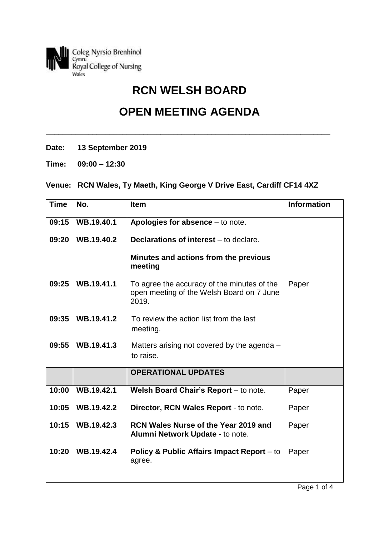

## **RCN WELSH BOARD**

## **OPEN MEETING AGENDA**

**\_\_\_\_\_\_\_\_\_\_\_\_\_\_\_\_\_\_\_\_\_\_\_\_\_\_\_\_\_\_\_\_\_\_\_\_\_\_\_\_\_\_\_\_\_\_\_\_\_\_\_\_\_\_\_\_\_\_\_\_\_\_\_\_\_\_\_**

- **Date: 13 September 2019**
- **Time: 09:00 – 12:30**

## **Venue: RCN Wales, Ty Maeth, King George V Drive East, Cardiff CF14 4XZ**

| <b>Time</b> | No.        | <b>Item</b>                                                                                       | <b>Information</b> |
|-------------|------------|---------------------------------------------------------------------------------------------------|--------------------|
| 09:15       | WB.19.40.1 | Apologies for absence $-$ to note.                                                                |                    |
| 09:20       | WB.19.40.2 | Declarations of interest – to declare.                                                            |                    |
|             |            | Minutes and actions from the previous<br>meeting                                                  |                    |
| 09:25       | WB.19.41.1 | To agree the accuracy of the minutes of the<br>open meeting of the Welsh Board on 7 June<br>2019. | Paper              |
| 09:35       | WB.19.41.2 | To review the action list from the last<br>meeting.                                               |                    |
| 09:55       | WB.19.41.3 | Matters arising not covered by the agenda –<br>to raise.                                          |                    |
|             |            | <b>OPERATIONAL UPDATES</b>                                                                        |                    |
| 10:00       | WB.19.42.1 | Welsh Board Chair's Report - to note.                                                             | Paper              |
| 10:05       | WB.19.42.2 | Director, RCN Wales Report - to note.                                                             | Paper              |
| 10:15       | WB.19.42.3 | RCN Wales Nurse of the Year 2019 and<br>Alumni Network Update - to note.                          | Paper              |
| 10:20       | WB.19.42.4 | <b>Policy &amp; Public Affairs Impact Report</b> – to<br>agree.                                   | Paper              |
|             |            |                                                                                                   |                    |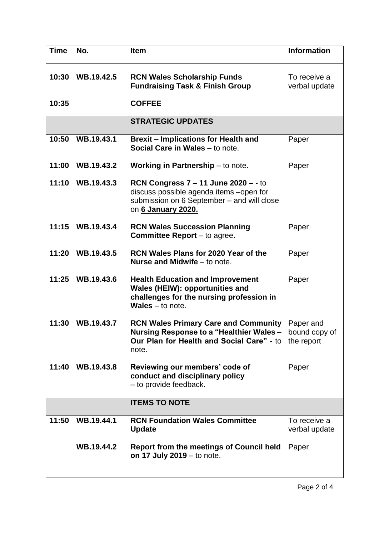| <b>Time</b> | No.        | <b>Item</b>                                                                                                                                                | <b>Information</b>                       |
|-------------|------------|------------------------------------------------------------------------------------------------------------------------------------------------------------|------------------------------------------|
| 10:30       | WB.19.42.5 | <b>RCN Wales Scholarship Funds</b><br><b>Fundraising Task &amp; Finish Group</b>                                                                           | To receive a<br>verbal update            |
| 10:35       |            | <b>COFFEE</b>                                                                                                                                              |                                          |
|             |            | <b>STRATEGIC UPDATES</b>                                                                                                                                   |                                          |
| 10:50       | WB.19.43.1 | <b>Brexit - Implications for Health and</b><br>Social Care in Wales - to note.                                                                             | Paper                                    |
| 11:00       | WB.19.43.2 | <b>Working in Partnership</b> $-$ to note.                                                                                                                 | Paper                                    |
| 11:10       | WB.19.43.3 | RCN Congress $7 - 11$ June 2020 $-$ - to<br>discuss possible agenda items -open for<br>submission on 6 September - and will close<br>on 6 January 2020.    |                                          |
| 11:15       | WB.19.43.4 | <b>RCN Wales Succession Planning</b><br><b>Committee Report</b> $-$ to agree.                                                                              | Paper                                    |
| 11:20       | WB.19.43.5 | <b>RCN Wales Plans for 2020 Year of the</b><br><b>Nurse and Midwife</b> – to note.                                                                         | Paper                                    |
| 11:25       | WB.19.43.6 | <b>Health Education and Improvement</b><br><b>Wales (HEIW): opportunities and</b><br>challenges for the nursing profession in<br><b>Wales</b> $-$ to note. | Paper                                    |
| 11:30       | WB.19.43.7 | <b>RCN Wales Primary Care and Community</b><br>Nursing Response to a "Healthier Wales –<br>Our Plan for Health and Social Care" - to<br>note.              | Paper and<br>bound copy of<br>the report |
| 11:40       | WB.19.43.8 | Reviewing our members' code of<br>conduct and disciplinary policy<br>- to provide feedback.                                                                | Paper                                    |
|             |            | <b>ITEMS TO NOTE</b>                                                                                                                                       |                                          |
| 11:50       | WB.19.44.1 | <b>RCN Foundation Wales Committee</b><br><b>Update</b>                                                                                                     | To receive a<br>verbal update            |
|             | WB.19.44.2 | <b>Report from the meetings of Council held</b><br>on 17 July $2019 -$ to note.                                                                            | Paper                                    |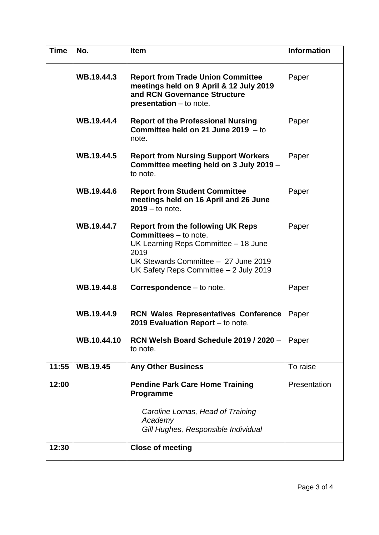| <b>Time</b> | No.             | <b>Item</b>                                                                                                                                                                                                | <b>Information</b> |
|-------------|-----------------|------------------------------------------------------------------------------------------------------------------------------------------------------------------------------------------------------------|--------------------|
|             | WB.19.44.3      | <b>Report from Trade Union Committee</b><br>meetings held on 9 April & 12 July 2019<br>and RCN Governance Structure<br>presentation - to note.                                                             | Paper              |
|             | WB.19.44.4      | <b>Report of the Professional Nursing</b><br>Committee held on 21 June 2019 $-$ to<br>note.                                                                                                                | Paper              |
|             | WB.19.44.5      | <b>Report from Nursing Support Workers</b><br>Committee meeting held on 3 July 2019 -<br>to note.                                                                                                          | Paper              |
|             | WB.19.44.6      | <b>Report from Student Committee</b><br>meetings held on 16 April and 26 June<br>$2019 -$ to note.                                                                                                         | Paper              |
|             | WB.19.44.7      | <b>Report from the following UK Reps</b><br><b>Committees</b> – to note.<br>UK Learning Reps Committee - 18 June<br>2019<br>UK Stewards Committee - 27 June 2019<br>UK Safety Reps Committee - 2 July 2019 | Paper              |
|             | WB.19.44.8      | Correspondence - to note.                                                                                                                                                                                  | Paper              |
|             | WB.19.44.9      | <b>RCN Wales Representatives Conference</b><br>2019 Evaluation Report - to note.                                                                                                                           | Paper              |
|             | WB.10.44.10     | RCN Welsh Board Schedule 2019 / 2020 -<br>to note.                                                                                                                                                         | Paper              |
| 11:55       | <b>WB.19.45</b> | <b>Any Other Business</b>                                                                                                                                                                                  | To raise           |
| 12:00       |                 | <b>Pendine Park Care Home Training</b><br>Programme                                                                                                                                                        | Presentation       |
|             |                 | Caroline Lomas, Head of Training<br>Academy<br>Gill Hughes, Responsible Individual                                                                                                                         |                    |
| 12:30       |                 | <b>Close of meeting</b>                                                                                                                                                                                    |                    |